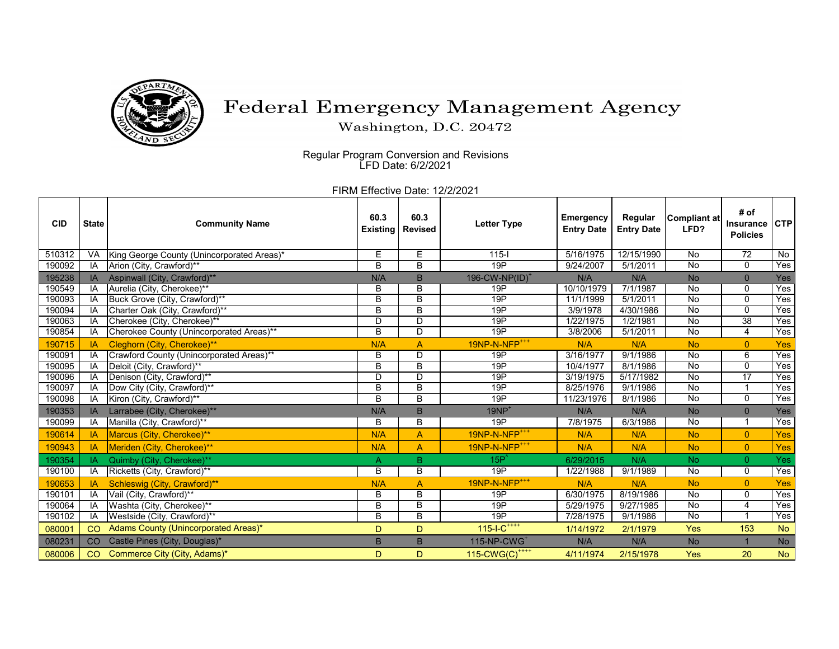

## Federal Emergency Management Agency

Washington, D.C. 20472

 Regular Program Conversion and Revisions LFD Date: 6/2/2021

FIRM Effective Date: 12/2/2021

| <b>CID</b> | <b>State</b> | <b>Community Name</b>                      | 60.3           | 60.3<br><b>Existing   Revised</b> | <b>Letter Type</b>         | <b>Emergency</b><br><b>Entry Date</b> | Regular<br><b>Entry Date</b> | <b>Compliant at</b><br>LFD? | # of<br><b>Insurance</b><br><b>Policies</b> | <b>CTP</b> |
|------------|--------------|--------------------------------------------|----------------|-----------------------------------|----------------------------|---------------------------------------|------------------------------|-----------------------------|---------------------------------------------|------------|
| 510312     | <b>VA</b>    | King George County (Unincorporated Areas)* | Е              | E                                 | $115 -$                    | 5/16/1975                             | 12/15/1990                   | No                          | 72                                          | No         |
| 190092     | IA           | Arion (City, Crawford)**                   | B              | B                                 | 19P                        | 9/24/2007                             | 5/1/2011                     | No                          | $\mathbf 0$                                 | Yes        |
| 195238     | IA           | Aspinwall (City, Crawford)**               | N/A            | B                                 | 196-CW-NP(ID) <sup>+</sup> | N/A                                   | N/A                          | <b>No</b>                   | $\overline{0}$                              | Yes        |
| 190549     | IA           | Aurelia (City, Cherokee)**                 | В              | B                                 | 19P                        | 10/10/1979                            | 7/1/1987                     | $\overline{N}$              | $\overline{0}$                              | Yes        |
| 190093     | IA           | Buck Grove (City, Crawford)**              | B              | B                                 | 19P                        | 11/1/1999                             | 5/1/2011                     | No                          | 0                                           | Yes        |
| 190094     | IA           | Charter Oak (City, Crawford)**             | B              | B                                 | 19P                        | 3/9/1978                              | 4/30/1986                    | No                          | $\mathbf{0}$                                | Yes        |
| 190063     | IA           | Cherokee (City, Cherokee)**                | D              | D                                 | 19P                        | 1/22/1975                             | 1/2/1981                     | No                          | 38                                          | Yes        |
| 190854     | IA           | Cherokee County (Unincorporated Areas)**   | B              | D                                 | 19P                        | 3/8/2006                              | 5/1/2011                     | No                          | 4                                           | Yes        |
| 190715     | IA           | Cleghorn (City, Cherokee)**                | N/A            | A                                 | 19NP-N-NFP <sup>+++</sup>  | N/A                                   | N/A                          | <b>No</b>                   | $\overline{0}$                              | <b>Yes</b> |
| 190091     | IA           | Crawford County (Unincorporated Areas)**   | B              | D                                 | 19P                        | 3/16/1977                             | 9/1/1986                     | No                          | 6                                           | Yes        |
| 190095     | IA           | Deloit (City, Crawford)**                  | B              | B                                 | 19P                        | 10/4/1977                             | 8/1/1986                     | No                          | $\Omega$                                    | Yes        |
| 190096     | IA           | Denison (City, Crawford)**                 | D              | D                                 | 19P                        | 3/19/1975                             | 5/17/1982                    | No                          | $\overline{17}$                             | Yes        |
| 190097     | IA           | Dow City (City, Crawford)**                | B              | B                                 | 19P                        | 8/25/1976                             | 9/1/1986                     | No                          |                                             | Yes        |
| 190098     | IA           | Kiron (City, Crawford)**                   | $\overline{B}$ | B                                 | 19P                        | 11/23/1976                            | 8/1/1986                     | No                          | $\mathbf{0}$                                | Yes        |
| 190353     | IA           | Larrabee (City, Cherokee)**                | N/A            | B                                 | $19NP+$                    | N/A                                   | N/A                          | <b>No</b>                   | 0                                           | Yes        |
| 190099     | IA           | Manilla (City, Crawford)**                 | B              | $\overline{B}$                    | 19P                        | 7/8/1975                              | 6/3/1986                     | No                          | -1                                          | Yes        |
| 190614     | IA           | Marcus (City, Cherokee)**                  | N/A            | $\overline{A}$                    | 19NP-N-NFP <sup>+++</sup>  | N/A                                   | N/A                          | <b>No</b>                   | $\overline{0}$                              | Yes        |
| 190943     | IA           | Meriden (City, Cherokee)**                 | N/A            | A                                 | 19NP-N-NFP <sup>+++</sup>  | N/A                                   | N/A                          | <b>No</b>                   | $\overline{0}$                              | Yes        |
| 190354     | ΙA           | Quimby (City, Cherokee)**                  | A              | B                                 | $15P^{T}$                  | 6/29/2015                             | N/A                          | <b>No</b>                   | $\overline{0}$                              | Yes        |
| 190100     | IA           | Ricketts (City, Crawford)**                | B              | B                                 | 19P                        | 1/22/1988                             | 9/1/1989                     | $\overline{N}$              | $\mathbf 0$                                 | Yes        |
| 190653     | IA           | Schleswig (City, Crawford)**               | N/A            | A                                 | 19NP-N-NFP <sup>+++</sup>  | N/A                                   | N/A                          | <b>No</b>                   | $\overline{0}$                              | Yes        |
| 190101     | IA           | Vail (City, Crawford)**                    | B              | B                                 | 19P                        | 6/30/1975                             | 8/19/1986                    | No                          | 0                                           | Yes        |
| 190064     | IA           | Washta (City, Cherokee)**                  | $\overline{B}$ | B                                 | 19P                        | 5/29/1975                             | 9/27/1985                    | No                          | 4                                           | Yes        |
| 190102     | IA           | Westside (City, Crawford)**                | B              | B                                 | 19P                        | 7/28/1975                             | 9/1/1986                     | No                          |                                             | Yes        |
| 080001     | CO           | Adams County (Unincorporated Areas)*       | D              | D                                 | $115 - 1 - C^{+++}$        | 1/14/1972                             | 2/1/1979                     | Yes                         | 153                                         | <b>No</b>  |
| 080231     | CO           | Castle Pines (City, Douglas)*              | B              | B                                 | $115-NP-CWG+$              | N/A                                   | N/A                          | <b>No</b>                   |                                             | <b>No</b>  |
| 080006     | CO           | Commerce City (City, Adams)*               | D              | D                                 | 115-CWG(C) <sup>++++</sup> | 4/11/1974                             | 2/15/1978                    | Yes                         | 20                                          | <b>No</b>  |